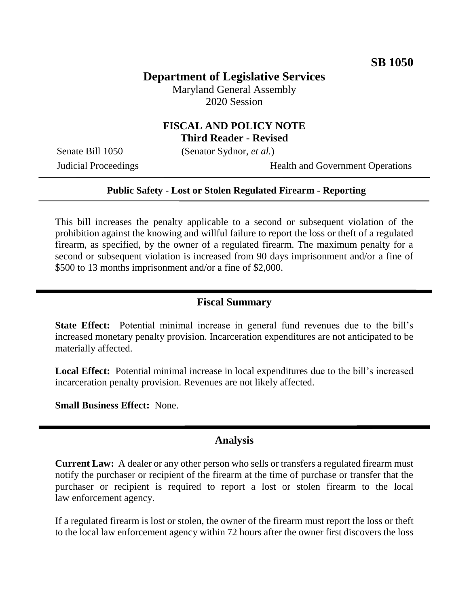# **Department of Legislative Services**

Maryland General Assembly 2020 Session

## **FISCAL AND POLICY NOTE Third Reader - Revised**

Senate Bill 1050 (Senator Sydnor, *et al.*)

Judicial Proceedings Health and Government Operations

#### **Public Safety - Lost or Stolen Regulated Firearm - Reporting**

This bill increases the penalty applicable to a second or subsequent violation of the prohibition against the knowing and willful failure to report the loss or theft of a regulated firearm, as specified, by the owner of a regulated firearm. The maximum penalty for a second or subsequent violation is increased from 90 days imprisonment and/or a fine of \$500 to 13 months imprisonment and/or a fine of \$2,000.

## **Fiscal Summary**

**State Effect:** Potential minimal increase in general fund revenues due to the bill's increased monetary penalty provision. Incarceration expenditures are not anticipated to be materially affected.

**Local Effect:** Potential minimal increase in local expenditures due to the bill's increased incarceration penalty provision. Revenues are not likely affected.

**Small Business Effect:** None.

### **Analysis**

**Current Law:** A dealer or any other person who sells or transfers a regulated firearm must notify the purchaser or recipient of the firearm at the time of purchase or transfer that the purchaser or recipient is required to report a lost or stolen firearm to the local law enforcement agency.

If a regulated firearm is lost or stolen, the owner of the firearm must report the loss or theft to the local law enforcement agency within 72 hours after the owner first discovers the loss